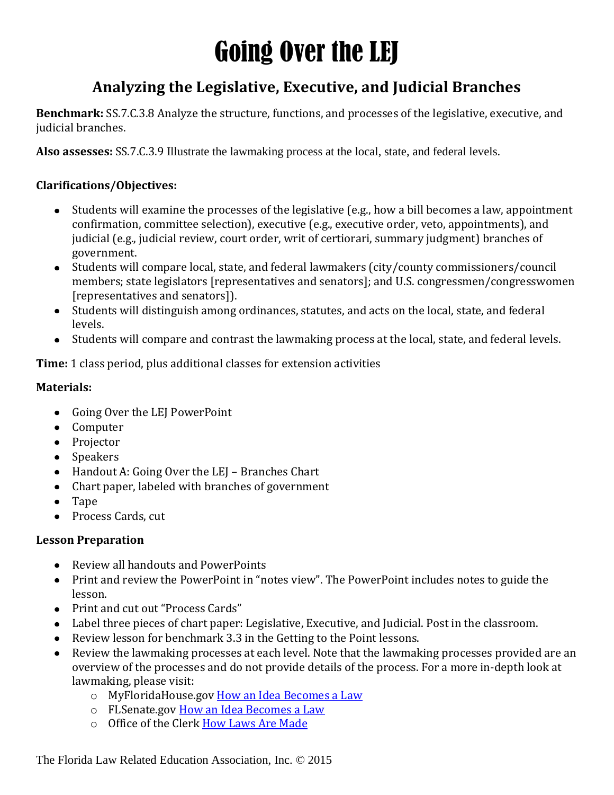# Going Over the LEJ

### **Analyzing the Legislative, Executive, and Judicial Branches**

**Benchmark:** SS.7.C.3.8 Analyze the structure, functions, and processes of the legislative, executive, and judicial branches.

**Also assesses:** SS.7.C.3.9 Illustrate the lawmaking process at the local, state, and federal levels.

#### **Clarifications/Objectives:**

- Students will examine the processes of the legislative (e.g., how a bill becomes a law, appointment  $\bullet$ confirmation, committee selection), executive (e.g., executive order, veto, appointments), and judicial (e.g., judicial review, court order, writ of certiorari, summary judgment) branches of government.
- Students will compare local, state, and federal lawmakers (city/county commissioners/council members; state legislators [representatives and senators]; and U.S. congressmen/congresswomen [representatives and senators]).
- Students will distinguish among ordinances, statutes, and acts on the local, state, and federal levels.
- Students will compare and contrast the lawmaking process at the local, state, and federal levels.

**Time:** 1 class period, plus additional classes for extension activities

#### **Materials:**

- Going Over the LEJ PowerPoint
- Computer
- Projector
- Speakers
- Handout A: Going Over the LEJ Branches Chart
- Chart paper, labeled with branches of government
- Tape
- Process Cards, cut

#### **Lesson Preparation**

- Review all handouts and PowerPoints
- Print and review the PowerPoint in "notes view". The PowerPoint includes notes to guide the lesson.
- Print and cut out "Process Cards"
- Label three pieces of chart paper: Legislative, Executive, and Judicial. Post in the classroom.
- Review lesson for benchmark 3.3 in the Getting to the Point lessons.
- Review the lawmaking processes at each level. Note that the lawmaking processes provided are an  $\bullet$ overview of the processes and do not provide details of the process. For a more in-depth look at lawmaking, please visit:
	- o MyFloridaHouse.gov How an Idea [Becomes a Law](http://www.myfloridahouse.gov/Handlers/LeagisDocumentRetriever.ashx?Leaf=housecontent/opi/Lists/Just%20for%20Students/Attachments/4/How%20an%20Idea%20Becomes%20a%20Law%20PostSecondary%20Students.pdf&Area=House)
	- o FLSenate.go[v How an Idea Becomes a Law](https://www.flsenate.gov/PublishedContent/ADMINISTRATIVEPUBLICATIONS/idea-to-law.pdf)
	- o Office of the Clerk [How Laws Are Made](https://www.flsenate.gov/PublishedContent/ADMINISTRATIVEPUBLICATIONS/idea-to-law.pdf)

The Florida Law Related Education Association, Inc. © 2015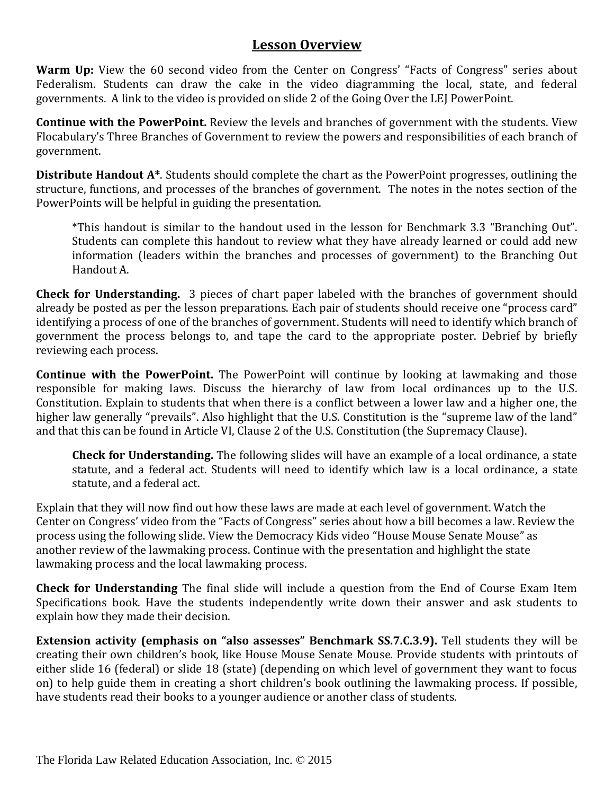#### **Lesson Overview**

Warm Up: View the 60 second video from the Center on Congress' "Facts of Congress" series about Federalism. Students can draw the cake in the video diagramming the local, state, and federal governments. A link to the video is provided on slide 2 of the Going Over the LEJ PowerPoint.

**Continue with the PowerPoint.** Review the levels and branches of government with the students. View Flocabulary's Three Branches of Government to review the powers and responsibilities of each branch of government.

**Distribute Handout A\***. Students should complete the chart as the PowerPoint progresses, outlining the structure, functions, and processes of the branches of government. The notes in the notes section of the PowerPoints will be helpful in guiding the presentation.

\*This handout is similar to the handout used in the lesson for Benchmark 3.3 "Branching Out". Students can complete this handout to review what they have already learned or could add new information (leaders within the branches and processes of government) to the Branching Out Handout A.

**Check for Understanding.** 3 pieces of chart paper labeled with the branches of government should already be posted as per the lesson preparations. Each pair of students should receive one "process card" identifying a process of one of the branches of government. Students will need to identify which branch of government the process belongs to, and tape the card to the appropriate poster. Debrief by briefly reviewing each process.

**Continue with the PowerPoint.** The PowerPoint will continue by looking at lawmaking and those responsible for making laws. Discuss the hierarchy of law from local ordinances up to the U.S. Constitution. Explain to students that when there is a conflict between a lower law and a higher one, the higher law generally "prevails". Also highlight that the U.S. Constitution is the "supreme law of the land" and that this can be found in Article VI, Clause 2 of the U.S. Constitution (the Supremacy Clause).

**Check for Understanding.** The following slides will have an example of a local ordinance, a state statute, and a federal act. Students will need to identify which law is a local ordinance, a state statute, and a federal act.

Explain that they will now find out how these laws are made at each level of government. Watch the Center on Congress' video from the "Facts of Congress" series about how a bill becomes a law. Review the process using the following slide. View the Democracy Kids video "House Mouse Senate Mouse" as another review of the lawmaking process. Continue with the presentation and highlight the state lawmaking process and the local lawmaking process.

**Check for Understanding** The final slide will include a question from the End of Course Exam Item Specifications book. Have the students independently write down their answer and ask students to explain how they made their decision.

**Extension activity (emphasis on "also assesses" Benchmark SS.7.C.3.9).** Tell students they will be creating their own children's book, like House Mouse Senate Mouse. Provide students with printouts of either slide 16 (federal) or slide 18 (state) (depending on which level of government they want to focus on) to help guide them in creating a short children's book outlining the lawmaking process. If possible, have students read their books to a younger audience or another class of students.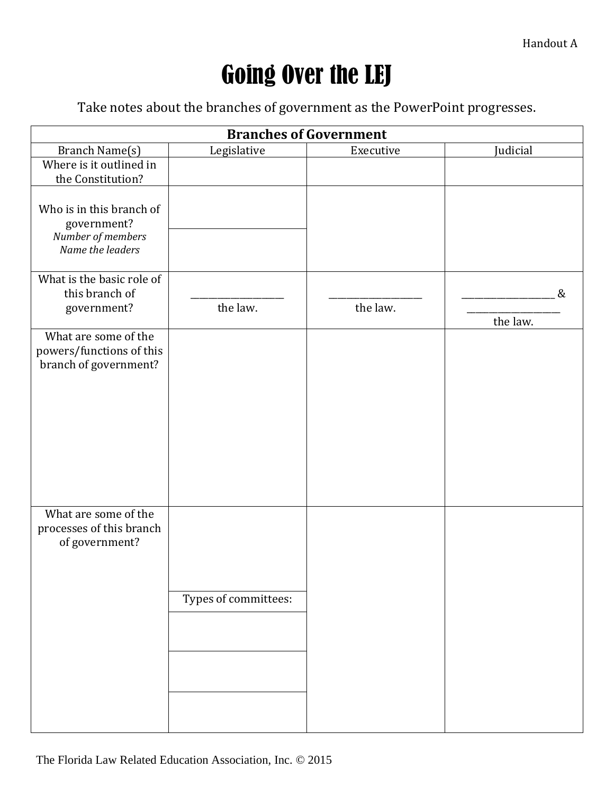## Going Over the LEJ

Take notes about the branches of government as the PowerPoint progresses.

| <b>Branches of Government</b>              |                      |           |          |  |
|--------------------------------------------|----------------------|-----------|----------|--|
| Branch Name(s)                             | Legislative          | Executive | Judicial |  |
| Where is it outlined in                    |                      |           |          |  |
| the Constitution?                          |                      |           |          |  |
| Who is in this branch of                   |                      |           |          |  |
| government?                                |                      |           |          |  |
| Number of members                          |                      |           |          |  |
| Name the leaders                           |                      |           |          |  |
| What is the basic role of                  |                      |           |          |  |
| this branch of                             |                      |           | &        |  |
| government?                                | the law.             | the law.  |          |  |
| What are some of the                       |                      |           | the law. |  |
| powers/functions of this                   |                      |           |          |  |
| branch of government?                      |                      |           |          |  |
|                                            |                      |           |          |  |
|                                            |                      |           |          |  |
|                                            |                      |           |          |  |
|                                            |                      |           |          |  |
|                                            |                      |           |          |  |
|                                            |                      |           |          |  |
|                                            |                      |           |          |  |
|                                            |                      |           |          |  |
| What are some of the                       |                      |           |          |  |
| processes of this branch<br>of government? |                      |           |          |  |
|                                            |                      |           |          |  |
|                                            |                      |           |          |  |
|                                            |                      |           |          |  |
|                                            | Types of committees: |           |          |  |
|                                            |                      |           |          |  |
|                                            |                      |           |          |  |
|                                            |                      |           |          |  |
|                                            |                      |           |          |  |
|                                            |                      |           |          |  |
|                                            |                      |           |          |  |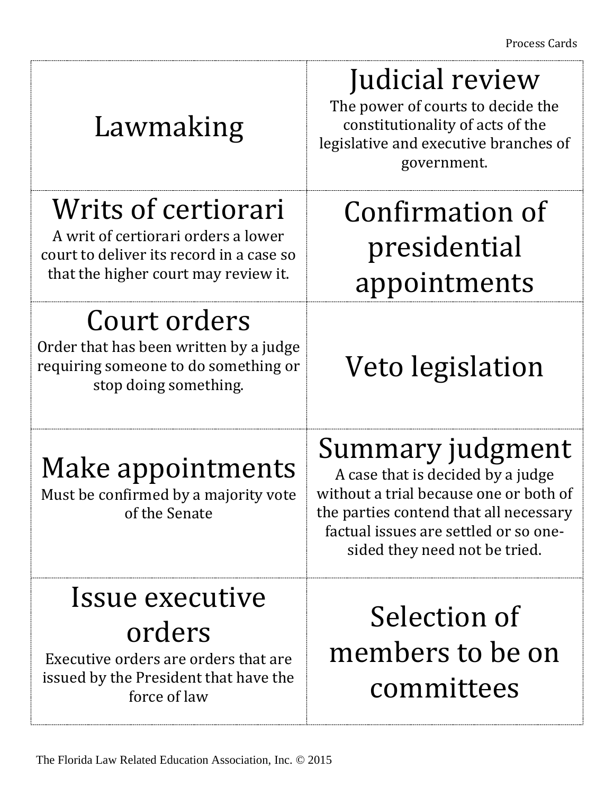| Lawmaking                                                                                                                                      | Judicial review<br>The power of courts to decide the<br>constitutionality of acts of the<br>legislative and executive branches of<br>government.                                                                    |  |
|------------------------------------------------------------------------------------------------------------------------------------------------|---------------------------------------------------------------------------------------------------------------------------------------------------------------------------------------------------------------------|--|
| Writs of certiorari<br>A writ of certiorari orders a lower<br>court to deliver its record in a case so<br>that the higher court may review it. | Confirmation of<br>presidential<br>appointments                                                                                                                                                                     |  |
| Court orders<br>Order that has been written by a judge<br>requiring someone to do something or<br>stop doing something.                        | Veto legislation                                                                                                                                                                                                    |  |
| Make appointments<br>Must be confirmed by a majority vote<br>of the Senate                                                                     | Summary judgment<br>A case that is decided by a judge<br>without a trial because one or both of<br>the parties contend that all necessary<br>factual issues are settled or so one-<br>sided they need not be tried. |  |
| Issue executive<br>orders<br>Executive orders are orders that are<br>issued by the President that have the<br>force of law                     | Selection of<br>members to be on<br>committees                                                                                                                                                                      |  |